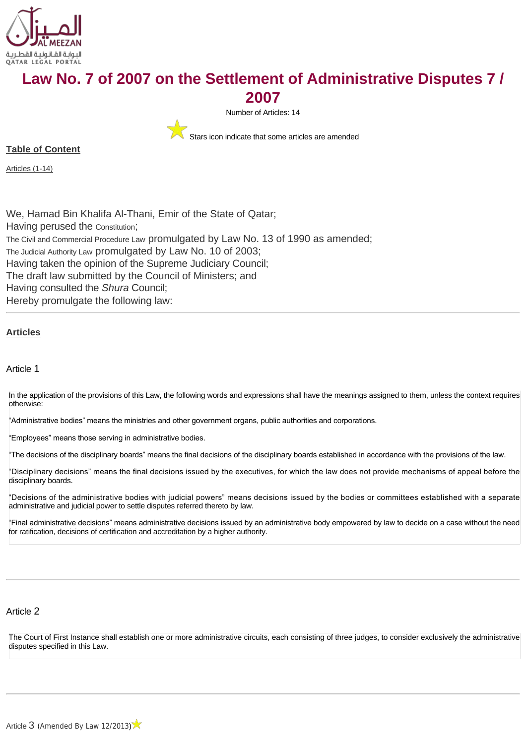

# **Law No. 7 of 2007 on the Settlement of Administrative Disputes 7 /**

**2007**



Stars icon indicate that some articles are amended

**Table of Content**

[Articles \(1-14\)](#page-0-0)

We, Hamad Bin Khalifa Al-Thani, Emir of the State of Qatar; Having perused the [Constitution](http://www.almeezan.qa/LawPage.aspx?id=2284&language=en); [The Civil and Commercial Procedure Law](http://www.almeezan.qa/LawPage.aspx?id=2492&language=en) promulgated by Law No. 13 of 1990 as amended; [The Judicial Authority Law](http://www.almeezan.qa/LawPage.aspx?id=2468&language=en) promulgated by Law No. 10 of 2003; Having taken the opinion of the Supreme Judiciary Council; The draft law submitted by the Council of Ministers; and Having consulted the *Shura* Council; Hereby promulgate the following law:

## <span id="page-0-0"></span>**[Articles](http://www.almeezan.qa/DownloadPage.aspx?Target=All&type=2&lawID=2643&language=en#)**

Article 1

In the application of the provisions of this Law, the following words and expressions shall have the meanings assigned to them, unless the context requires otherwise:

"Administrative bodies" means the ministries and other government organs, public authorities and corporations.

"Employees" means those serving in administrative bodies.

"The decisions of the disciplinary boards" means the final decisions of the disciplinary boards established in accordance with the provisions of the law.

"Disciplinary decisions" means the final decisions issued by the executives, for which the law does not provide mechanisms of appeal before the disciplinary boards.

"Decisions of the administrative bodies with judicial powers" means decisions issued by the bodies or committees established with a separate administrative and judicial power to settle disputes referred thereto by law.

"Final administrative decisions" means administrative decisions issued by an administrative body empowered by law to decide on a case without the need for ratification, decisions of certification and accreditation by a higher authority.

# Article 2

The Court of First Instance shall establish one or more administrative circuits, each consisting of three judges, to consider exclusively the administrative disputes specified in this Law.

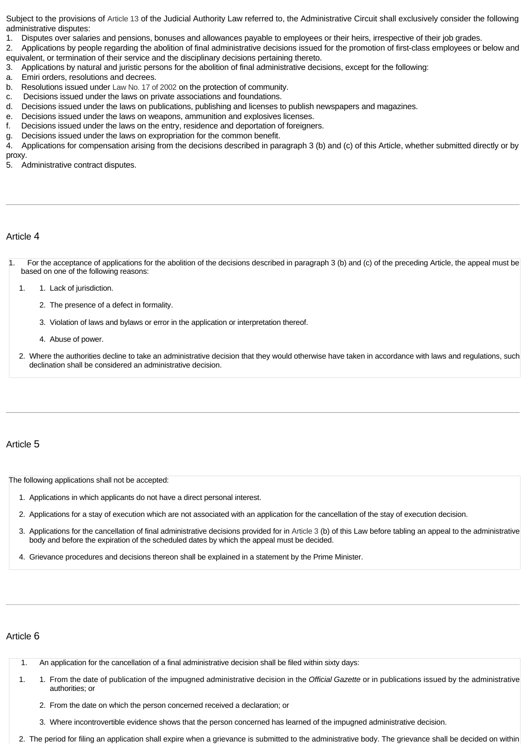Subject to the provisions of [Article 13](http://almeezan.qa/LawArticles.aspx?LawArticleID=55720&LawID=4052&language=en) of the Judicial Authority Law referred to, the Administrative Circuit shall exclusively consider the following administrative disputes:

1. Disputes over salaries and pensions, bonuses and allowances payable to employees or their heirs, irrespective of their job grades.

2. Applications by people regarding the abolition of final administrative decisions issued for the promotion of first-class employees or below and equivalent, or termination of their service and the disciplinary decisions pertaining thereto.

- 3. Applications by natural and juristic persons for the abolition of final administrative decisions, except for the following:
- a. Emiri orders, resolutions and decrees.
- b. Resolutions issued under [Law No. 17 of 2002](http://almeezan.qa/LawPage.aspx?id=116&language=en) on the protection of community.
- c. Decisions issued under the laws on private associations and foundations.
- d. Decisions issued under the laws on publications, publishing and licenses to publish newspapers and magazines.
- e. Decisions issued under the laws on weapons, ammunition and explosives licenses.
- f. Decisions issued under the laws on the entry, residence and deportation of foreigners.
- g. Decisions issued under the laws on expropriation for the common benefit.
- 4. Applications for compensation arising from the decisions described in paragraph 3 (b) and (c) of this Article, whether submitted directly or by proxy.

5. Administrative contract disputes.

## Article 4

1. For the acceptance of applications for the abolition of the decisions described in paragraph 3 (b) and (c) of the preceding Article, the appeal must be based on one of the following reasons:

1. 1. Lack of jurisdiction.

- 2. The presence of a defect in formality.
- 3. Violation of laws and bylaws or error in the application or interpretation thereof.
- 4. Abuse of power.
- 2. Where the authorities decline to take an administrative decision that they would otherwise have taken in accordance with laws and regulations, such declination shall be considered an administrative decision.

#### Article 5

The following applications shall not be accepted:

- 1. Applications in which applicants do not have a direct personal interest.
- 2. Applications for a stay of execution which are not associated with an application for the cancellation of the stay of execution decision.
- 3. Applications for the cancellation of final administrative decisions provided for in [Article 3](http://www.almeezan.qa/LawArticles.aspx?LawArticleID=40494&LawID=2643&language=en) (b) of this Law before tabling an appeal to the administrative body and before the expiration of the scheduled dates by which the appeal must be decided.
- 4. Grievance procedures and decisions thereon shall be explained in a statement by the Prime Minister.

#### Article 6

- 1. An application for the cancellation of a final administrative decision shall be filed within sixty days:
- 1. 1. From the date of publication of the impugned administrative decision in the *Official Gazette* or in publications issued by the administrative authorities; or
	- 2. From the date on which the person concerned received a declaration; or
	- 3. Where incontrovertible evidence shows that the person concerned has learned of the impugned administrative decision.
- 2. The period for filing an application shall expire when a grievance is submitted to the administrative body. The grievance shall be decided on within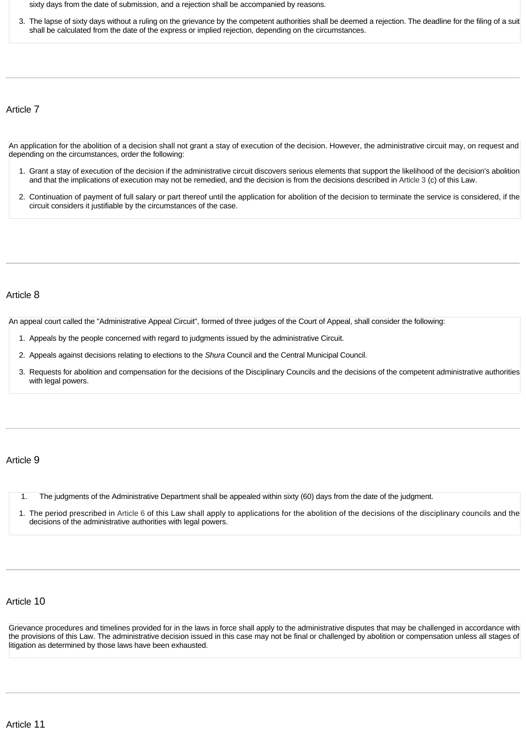sixty days from the date of submission, and a rejection shall be accompanied by reasons.

3. The lapse of sixty days without a ruling on the grievance by the competent authorities shall be deemed a rejection. The deadline for the filing of a suit shall be calculated from the date of the express or implied rejection, depending on the circumstances.

Article 7

An application for the abolition of a decision shall not grant a stay of execution of the decision. However, the administrative circuit may, on request and depending on the circumstances, order the following:

- 1. Grant a stay of execution of the decision if the administrative circuit discovers serious elements that support the likelihood of the decision's abolition and that the implications of execution may not be remedied, and the decision is from the decisions described in [Article 3](http://www.almeezan.qa/LawArticles.aspx?LawArticleID=40494&LawID=2643&language=en) (c) of this Law.
- 2. Continuation of payment of full salary or part thereof until the application for abolition of the decision to terminate the service is considered, if the circuit considers it justifiable by the circumstances of the case.

#### Article 8

An appeal court called the "Administrative Appeal Circuit", formed of three judges of the Court of Appeal, shall consider the following:

- 1. Appeals by the people concerned with regard to judgments issued by the administrative Circuit.
- 2. Appeals against decisions relating to elections to the *Shura* Council and the Central Municipal Council.
- 3. Requests for abolition and compensation for the decisions of the Disciplinary Councils and the decisions of the competent administrative authorities with legal powers.

#### Article 9

1. The judgments of the Administrative Department shall be appealed within sixty (60) days from the date of the judgment.

1. The period prescribed in [Article 6](http://www.almeezan.qa/LawArticles.aspx?LawArticleID=40497&LawID=2643&language=en) of this Law shall apply to applications for the abolition of the decisions of the disciplinary councils and the decisions of the administrative authorities with legal powers.

## Article 10

Grievance procedures and timelines provided for in the laws in force shall apply to the administrative disputes that may be challenged in accordance with the provisions of this Law. The administrative decision issued in this case may not be final or challenged by abolition or compensation unless all stages of litigation as determined by those laws have been exhausted.